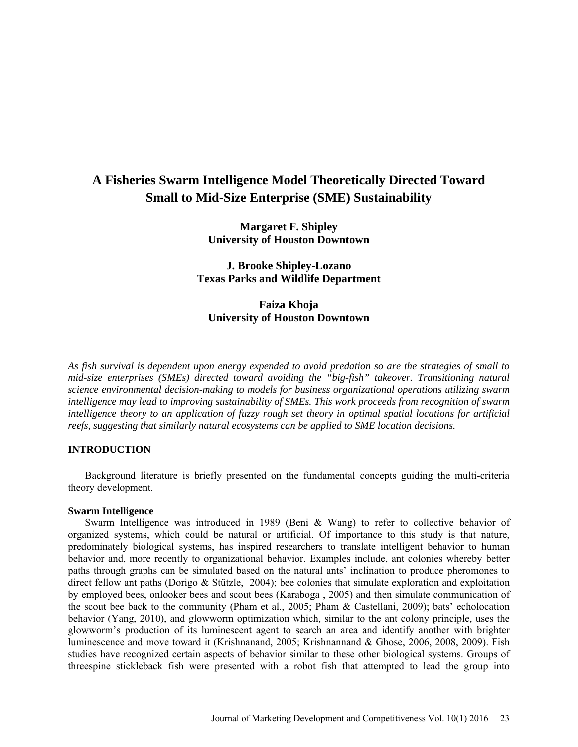# **A Fisheries Swarm Intelligence Model Theoretically Directed Toward Small to Mid-Size Enterprise (SME) Sustainability**

**Margaret F. Shipley University of Houston Downtown**

**J. Brooke Shipley-Lozano Texas Parks and Wildlife Department**

**Faiza Khoja University of Houston Downtown**

*As fish survival is dependent upon energy expended to avoid predation so are the strategies of small to mid-size enterprises (SMEs) directed toward avoiding the "big-fish" takeover. Transitioning natural science environmental decision-making to models for business organizational operations utilizing swarm intelligence may lead to improving sustainability of SMEs. This work proceeds from recognition of swarm intelligence theory to an application of fuzzy rough set theory in optimal spatial locations for artificial reefs, suggesting that similarly natural ecosystems can be applied to SME location decisions.*

# **INTRODUCTION**

Background literature is briefly presented on the fundamental concepts guiding the multi-criteria theory development.

# **Swarm Intelligence**

Swarm Intelligence was introduced in 1989 (Beni & Wang) to refer to collective behavior of organized systems, which could be natural or artificial. Of importance to this study is that nature, predominately biological systems, has inspired researchers to translate intelligent behavior to human behavior and, more recently to organizational behavior. Examples include, ant colonies whereby better paths through graphs can be simulated based on the natural ants' inclination to produce pheromones to direct fellow ant paths (Dorigo & Stützle, 2004); bee colonies that simulate exploration and exploitation by employed bees, onlooker bees and scout bees (Karaboga , 2005) and then simulate communication of the scout bee back to the community (Pham et al., 2005; Pham & Castellani, 2009); bats' echolocation behavior (Yang, 2010), and glowworm optimization which, similar to the ant colony principle, uses the glowworm's production of its luminescent agent to search an area and identify another with brighter luminescence and move toward it (Krishnanand, 2005; Krishnannand & Ghose, 2006, 2008, 2009). Fish studies have recognized certain aspects of behavior similar to these other biological systems. Groups of threespine stickleback fish were presented with a robot fish that attempted to lead the group into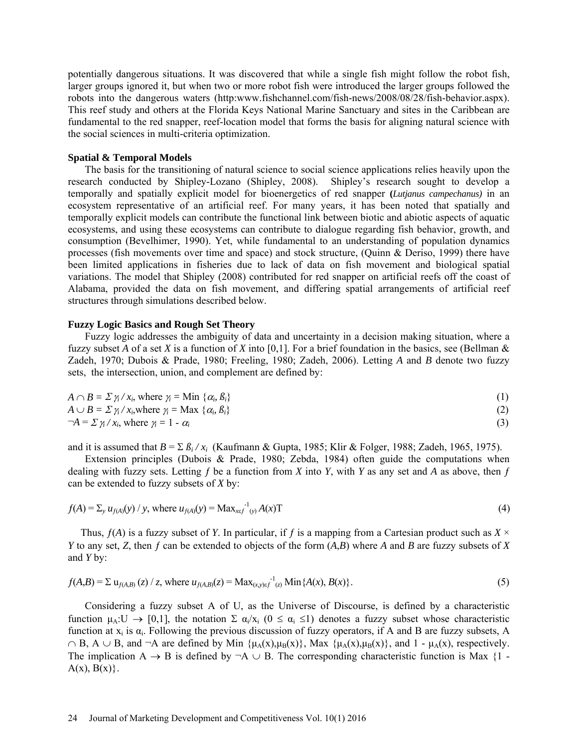potentially dangerous situations. It was discovered that while a single fish might follow the robot fish, larger groups ignored it, but when two or more robot fish were introduced the larger groups followed the robots into the dangerous waters (http:www.fishchannel.com/fish-news/2008/08/28/fish-behavior.aspx). This reef study and others at the Florida Keys National Marine Sanctuary and sites in the Caribbean are fundamental to the red snapper, reef-location model that forms the basis for aligning natural science with the social sciences in multi-criteria optimization.

## **Spatial & Temporal Models**

The basis for the transitioning of natural science to social science applications relies heavily upon the research conducted by Shipley-Lozano (Shipley, 2008). Shipley's research sought to develop a temporally and spatially explicit model for bioenergetics of red snapper **(***Lutjanus campechanus)* in an ecosystem representative of an artificial reef. For many years, it has been noted that spatially and temporally explicit models can contribute the functional link between biotic and abiotic aspects of aquatic ecosystems, and using these ecosystems can contribute to dialogue regarding fish behavior, growth, and consumption (Bevelhimer, 1990). Yet, while fundamental to an understanding of population dynamics processes (fish movements over time and space) and stock structure, (Quinn & Deriso, 1999) there have been limited applications in fisheries due to lack of data on fish movement and biological spatial variations. The model that Shipley (2008) contributed for red snapper on artificial reefs off the coast of Alabama, provided the data on fish movement, and differing spatial arrangements of artificial reef structures through simulations described below.

## **Fuzzy Logic Basics and Rough Set Theory**

Fuzzy logic addresses the ambiguity of data and uncertainty in a decision making situation, where a fuzzy subset *A* of a set *X* is a function of *X* into [0,1]. For a brief foundation in the basics, see (Bellman & Zadeh, 1970; Dubois & Prade, 1980; Freeling, 1980; Zadeh, 2006). Letting *A* and *B* denote two fuzzy sets, the intersection, union, and complement are defined by:

$$
A \cap B = \sum \gamma_i / x_i, \text{ where } \gamma_i = \text{Min } \{ \alpha_i, \beta_i \}
$$
  
\n
$$
A \cup B = \sum \gamma_i / x_i, \text{ where } \gamma_i = \text{Max } f \alpha, \beta_i \}
$$
 (1)

$$
\begin{aligned} A \cup B &= \sum_{j_i} \lambda_{i,j} \text{ where } \gamma_i = \text{Max } \{ \alpha_i, \beta_i \} \end{aligned} \tag{2}
$$
\n
$$
\begin{aligned} \neg A &= \sum_{j_i} \gamma_i \lambda_{i,j} \text{ where } \gamma_i = 1 - \alpha_i \end{aligned} \tag{3}
$$

and it is assumed that *B* = Σ *ßi / xi* (Kaufmann & Gupta, 1985; Klir & Folger, 1988; Zadeh, 1965, 1975).

Extension principles (Dubois & Prade, 1980; Zebda, 1984) often guide the computations when dealing with fuzzy sets. Letting  $f$  be a function from  $X$  into  $Y$ , with  $Y$  as any set and  $A$  as above, then  $f$ can be extended to fuzzy subsets of *X* by:

$$
f(A) = \sum_{y} u_{f(A)}(y) / y, \text{ where } u_{f(A)}(y) = \text{Max}_{x \in f^{-1}(y)} A(x) \text{T}
$$
 (4)

Thus,  $f(A)$  is a fuzzy subset of *Y*. In particular, if f is a mapping from a Cartesian product such as  $X \times Y$ *Y* to any set, *Z*, then *f* can be extended to objects of the form  $(A,B)$  where *A* and *B* are fuzzy subsets of *X* and *Y* by:

$$
f(A,B) = \sum u_{f(A,B)}(z) / z, \text{ where } u_{f(A,B)}(z) = \text{Max}_{(x,y)\in f}^{-1}(z) \text{ Min}\{A(x), B(x)\}. \tag{5}
$$

Considering a fuzzy subset A of U, as the Universe of Discourse, is defined by a characteristic function  $\mu_A: U \to [0,1]$ , the notation  $\Sigma \alpha_i / x_i$   $(0 \le \alpha_i \le 1)$  denotes a fuzzy subset whose characteristic function at  $x_i$  is  $\alpha_i$ . Following the previous discussion of fuzzy operators, if A and B are fuzzy subsets, A  $\cap$  B, A  $\cup$  B, and  $\neg$ A are defined by Min { $\mu_A(x),\mu_B(x)$ }, Max { $\mu_A(x),\mu_B(x)$ }, and 1 -  $\mu_A(x)$ , respectively. The implication A  $\rightarrow$  B is defined by  $\neg A \cup B$ . The corresponding characteristic function is Max {1 - $A(x), B(x)\}$ .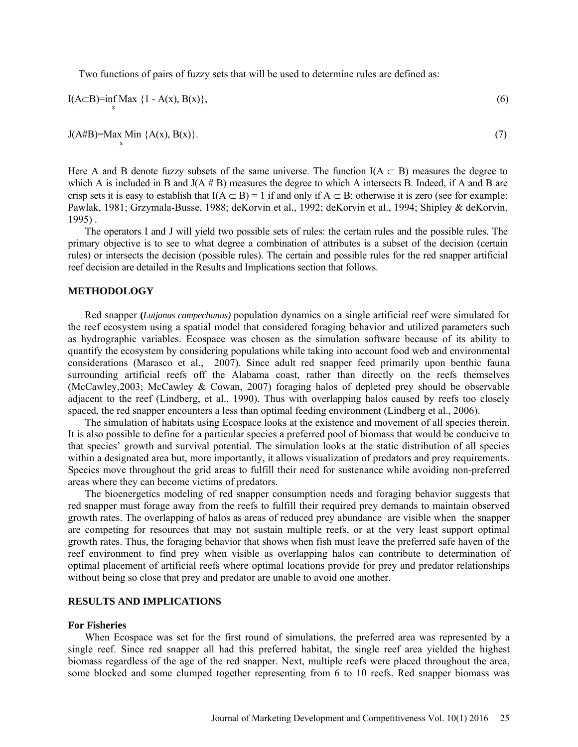Two functions of pairs of fuzzy sets that will be used to determine rules are defined as:

$$
I(A \subset B) = \inf_{x} \text{Max } \{1 - A(x), B(x)\},\tag{6}
$$

 $J(AHB)$ =Max Min  ${A(x), B(x)}$ . (7)

Here A and B denote fuzzy subsets of the same universe. The function  $I(A \subset B)$  measures the degree to which A is included in B and  $J(A \# B)$  measures the degree to which A intersects B. Indeed, if A and B are crisp sets it is easy to establish that  $I(A \subset B) = 1$  if and only if  $A \subset B$ ; otherwise it is zero (see for example: Pawlak, 1981; Grzymala-Busse, 1988; deKorvin et al., 1992; deKorvin et al., 1994; Shipley & deKorvin, 1995) .

The operators I and J will yield two possible sets of rules: the certain rules and the possible rules. The primary objective is to see to what degree a combination of attributes is a subset of the decision (certain rules) or intersects the decision (possible rules). The certain and possible rules for the red snapper artificial reef decision are detailed in the Results and Implications section that follows.

## **METHODOLOGY**

Red snapper **(***Lutjanus campechanus)* population dynamics on a single artificial reef were simulated for the reef ecosystem using a spatial model that considered foraging behavior and utilized parameters such as hydrographic variables. Ecospace was chosen as the simulation software because of its ability to quantify the ecosystem by considering populations while taking into account food web and environmental considerations (Marasco et al., 2007). Since adult red snapper feed primarily upon benthic fauna surrounding artificial reefs off the Alabama coast, rather than directly on the reefs themselves (McCawley,2003; McCawley & Cowan, 2007) foraging halos of depleted prey should be observable adjacent to the reef (Lindberg, et al., 1990). Thus with overlapping halos caused by reefs too closely spaced, the red snapper encounters a less than optimal feeding environment (Lindberg et al., 2006).

The simulation of habitats using Ecospace looks at the existence and movement of all species therein. It is also possible to define for a particular species a preferred pool of biomass that would be conducive to that species' growth and survival potential. The simulation looks at the static distribution of all species within a designated area but, more importantly, it allows visualization of predators and prey requirements. Species move throughout the grid areas to fulfill their need for sustenance while avoiding non-preferred areas where they can become victims of predators.

The bioenergetics modeling of red snapper consumption needs and foraging behavior suggests that red snapper must forage away from the reefs to fulfill their required prey demands to maintain observed growth rates. The overlapping of halos as areas of reduced prey abundance are visible when the snapper are competing for resources that may not sustain multiple reefs, or at the very least support optimal growth rates. Thus, the foraging behavior that shows when fish must leave the preferred safe haven of the reef environment to find prey when visible as overlapping halos can contribute to determination of optimal placement of artificial reefs where optimal locations provide for prey and predator relationships without being so close that prey and predator are unable to avoid one another.

# **RESULTS AND IMPLICATIONS**

### **For Fisheries**

When Ecospace was set for the first round of simulations, the preferred area was represented by a single reef. Since red snapper all had this preferred habitat, the single reef area yielded the highest biomass regardless of the age of the red snapper. Next, multiple reefs were placed throughout the area, some blocked and some clumped together representing from 6 to 10 reefs. Red snapper biomass was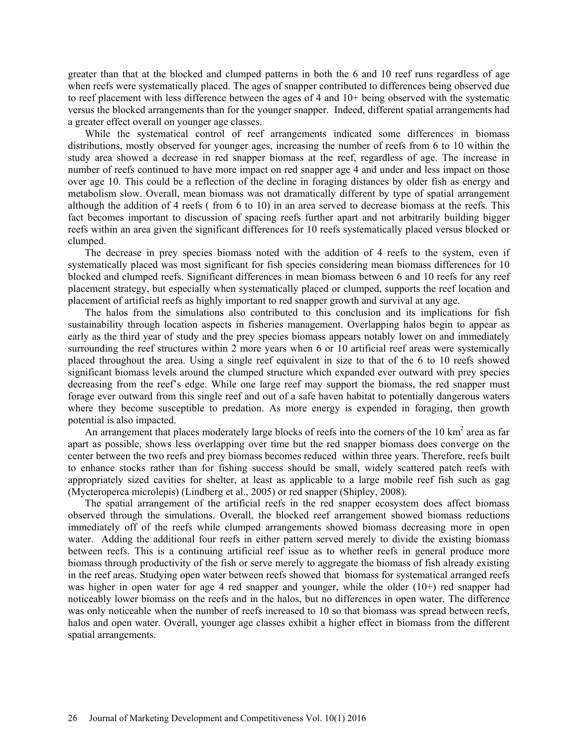greater than that at the blocked and clumped patterns in both the 6 and 10 reef runs regardless of age when reefs were systematically placed. The ages of snapper contributed to differences being observed due to reef placement with less difference between the ages of 4 and 10+ being observed with the systematic versus the blocked arrangements than for the younger snapper. Indeed, different spatial arrangements had a greater effect overall on younger age classes.

While the systematical control of reef arrangements indicated some differences in biomass distributions, mostly observed for younger ages, increasing the number of reefs from 6 to 10 within the study area showed a decrease in red snapper biomass at the reef, regardless of age. The increase in number of reefs continued to have more impact on red snapper age 4 and under and less impact on those over age 10. This could be a reflection of the decline in foraging distances by older fish as energy and metabolism slow. Overall, mean biomass was not dramatically different by type of spatial arrangement although the addition of 4 reefs ( from 6 to 10) in an area served to decrease biomass at the reefs. This fact becomes important to discussion of spacing reefs further apart and not arbitrarily building bigger reefs within an area given the significant differences for 10 reefs systematically placed versus blocked or clumped.

The decrease in prey species biomass noted with the addition of 4 reefs to the system, even if systematically placed was most significant for fish species considering mean biomass differences for 10 blocked and clumped reefs. Significant differences in mean biomass between 6 and 10 reefs for any reef placement strategy, but especially when systematically placed or clumped, supports the reef location and placement of artificial reefs as highly important to red snapper growth and survival at any age.

The halos from the simulations also contributed to this conclusion and its implications for fish sustainability through location aspects in fisheries management. Overlapping halos begin to appear as early as the third year of study and the prey species biomass appears notably lower on and immediately surrounding the reef structures within 2 more years when 6 or 10 artificial reef areas were systemically placed throughout the area. Using a single reef equivalent in size to that of the 6 to 10 reefs showed significant biomass levels around the clumped structure which expanded ever outward with prey species decreasing from the reef's edge. While one large reef may support the biomass, the red snapper must forage ever outward from this single reef and out of a safe haven habitat to potentially dangerous waters where they become susceptible to predation. As more energy is expended in foraging, then growth potential is also impacted.

An arrangement that places moderately large blocks of reefs into the corners of the 10 km<sup>2</sup> area as far apart as possible, shows less overlapping over time but the red snapper biomass does converge on the center between the two reefs and prey biomass becomes reduced within three years. Therefore, reefs built to enhance stocks rather than for fishing success should be small, widely scattered patch reefs with appropriately sized cavities for shelter, at least as applicable to a large mobile reef fish such as gag (Mycteroperca microlepis) (Lindberg et al., 2005) or red snapper (Shipley, 2008).

The spatial arrangement of the artificial reefs in the red snapper ecosystem does affect biomass observed through the simulations. Overall, the blocked reef arrangement showed biomass reductions immediately off of the reefs while clumped arrangements showed biomass decreasing more in open water. Adding the additional four reefs in either pattern served merely to divide the existing biomass between reefs. This is a continuing artificial reef issue as to whether reefs in general produce more biomass through productivity of the fish or serve merely to aggregate the biomass of fish already existing in the reef areas. Studying open water between reefs showed that biomass for systematical arranged reefs was higher in open water for age 4 red snapper and younger, while the older (10+) red snapper had noticeably lower biomass on the reefs and in the halos, but no differences in open water. The difference was only noticeable when the number of reefs increased to 10 so that biomass was spread between reefs, halos and open water. Overall, younger age classes exhibit a higher effect in biomass from the different spatial arrangements.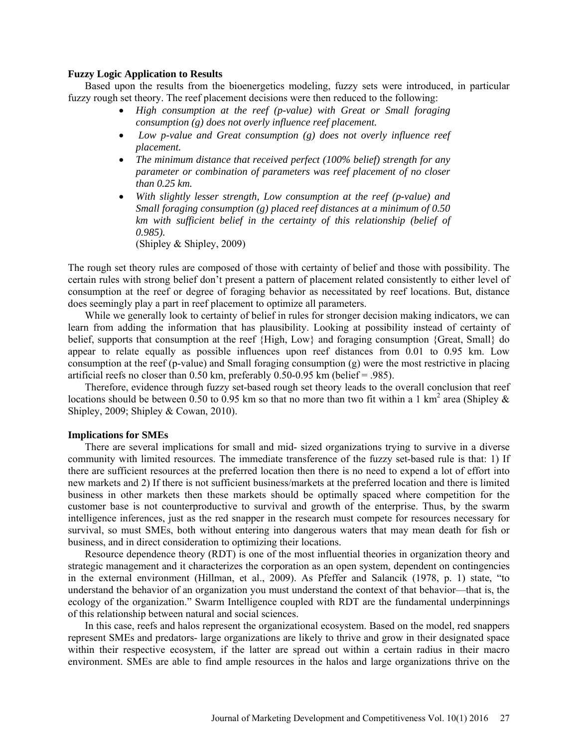# **Fuzzy Logic Application to Results**

Based upon the results from the bioenergetics modeling, fuzzy sets were introduced, in particular fuzzy rough set theory. The reef placement decisions were then reduced to the following:

- *High consumption at the reef (p-value) with Great or Small foraging consumption (g) does not overly influence reef placement.*
- *Low p-value and Great consumption (g) does not overly influence reef placement.*
- *The minimum distance that received perfect (100% belief) strength for any parameter or combination of parameters was reef placement of no closer than 0.25 km.*
- *With slightly lesser strength, Low consumption at the reef (p-value) and Small foraging consumption (g) placed reef distances at a minimum of 0.50 km with sufficient belief in the certainty of this relationship (belief of 0.985).*

(Shipley & Shipley, 2009)

The rough set theory rules are composed of those with certainty of belief and those with possibility. The certain rules with strong belief don't present a pattern of placement related consistently to either level of consumption at the reef or degree of foraging behavior as necessitated by reef locations. But, distance does seemingly play a part in reef placement to optimize all parameters.

While we generally look to certainty of belief in rules for stronger decision making indicators, we can learn from adding the information that has plausibility. Looking at possibility instead of certainty of belief, supports that consumption at the reef {High, Low} and foraging consumption {Great, Small} do appear to relate equally as possible influences upon reef distances from 0.01 to 0.95 km. Low consumption at the reef (p-value) and Small foraging consumption (g) were the most restrictive in placing artificial reefs no closer than  $0.50$  km, preferably  $0.50$ -0.95 km (belief = .985).

Therefore, evidence through fuzzy set-based rough set theory leads to the overall conclusion that reef locations should be between 0.50 to 0.95 km so that no more than two fit within a 1 km<sup>2</sup> area (Shipley  $\&$ Shipley, 2009; Shipley & Cowan, 2010).

## **Implications for SMEs**

There are several implications for small and mid- sized organizations trying to survive in a diverse community with limited resources. The immediate transference of the fuzzy set-based rule is that: 1) If there are sufficient resources at the preferred location then there is no need to expend a lot of effort into new markets and 2) If there is not sufficient business/markets at the preferred location and there is limited business in other markets then these markets should be optimally spaced where competition for the customer base is not counterproductive to survival and growth of the enterprise. Thus, by the swarm intelligence inferences, just as the red snapper in the research must compete for resources necessary for survival, so must SMEs, both without entering into dangerous waters that may mean death for fish or business, and in direct consideration to optimizing their locations.

Resource dependence theory (RDT) is one of the most influential theories in organization theory and strategic management and it characterizes the corporation as an open system, dependent on contingencies in the external environment (Hillman, et al., 2009). As Pfeffer and Salancik (1978, p. 1) state, "to understand the behavior of an organization you must understand the context of that behavior—that is, the ecology of the organization." Swarm Intelligence coupled with RDT are the fundamental underpinnings of this relationship between natural and social sciences.

In this case, reefs and halos represent the organizational ecosystem. Based on the model, red snappers represent SMEs and predators- large organizations are likely to thrive and grow in their designated space within their respective ecosystem, if the latter are spread out within a certain radius in their macro environment. SMEs are able to find ample resources in the halos and large organizations thrive on the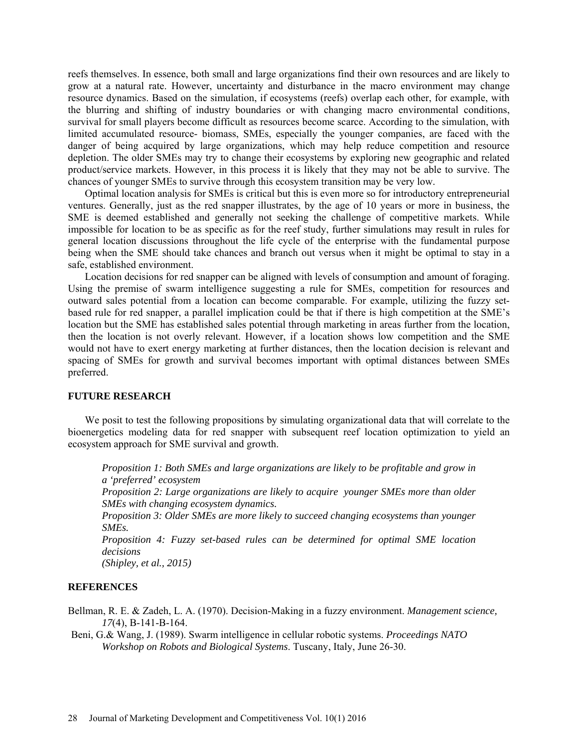reefs themselves. In essence, both small and large organizations find their own resources and are likely to grow at a natural rate. However, uncertainty and disturbance in the macro environment may change resource dynamics. Based on the simulation, if ecosystems (reefs) overlap each other, for example, with the blurring and shifting of industry boundaries or with changing macro environmental conditions, survival for small players become difficult as resources become scarce. According to the simulation, with limited accumulated resource- biomass, SMEs, especially the younger companies, are faced with the danger of being acquired by large organizations, which may help reduce competition and resource depletion. The older SMEs may try to change their ecosystems by exploring new geographic and related product/service markets. However, in this process it is likely that they may not be able to survive. The chances of younger SMEs to survive through this ecosystem transition may be very low.

Optimal location analysis for SMEs is critical but this is even more so for introductory entrepreneurial ventures. Generally, just as the red snapper illustrates, by the age of 10 years or more in business, the SME is deemed established and generally not seeking the challenge of competitive markets. While impossible for location to be as specific as for the reef study, further simulations may result in rules for general location discussions throughout the life cycle of the enterprise with the fundamental purpose being when the SME should take chances and branch out versus when it might be optimal to stay in a safe, established environment.

Location decisions for red snapper can be aligned with levels of consumption and amount of foraging. Using the premise of swarm intelligence suggesting a rule for SMEs, competition for resources and outward sales potential from a location can become comparable. For example, utilizing the fuzzy setbased rule for red snapper, a parallel implication could be that if there is high competition at the SME's location but the SME has established sales potential through marketing in areas further from the location, then the location is not overly relevant. However, if a location shows low competition and the SME would not have to exert energy marketing at further distances, then the location decision is relevant and spacing of SMEs for growth and survival becomes important with optimal distances between SMEs preferred.

# **FUTURE RESEARCH**

We posit to test the following propositions by simulating organizational data that will correlate to the bioenergetics modeling data for red snapper with subsequent reef location optimization to yield an ecosystem approach for SME survival and growth.

*Proposition 1: Both SMEs and large organizations are likely to be profitable and grow in a 'preferred' ecosystem*

*Proposition 2: Large organizations are likely to acquire younger SMEs more than older SMEs with changing ecosystem dynamics.* 

*Proposition 3: Older SMEs are more likely to succeed changing ecosystems than younger SMEs.* 

*Proposition 4: Fuzzy set-based rules can be determined for optimal SME location decisions*

*(Shipley, et al., 2015)*

# **REFERENCES**

- Bellman, R. E. & Zadeh, L. A. (1970). Decision-Making in a fuzzy environment. *Management science, 17*(4), B-141-B-164.
- Beni, G.& Wang, J. (1989). Swarm intelligence in cellular robotic systems. *Proceedings NATO Workshop on Robots and Biological Systems*. Tuscany, Italy, June 26-30.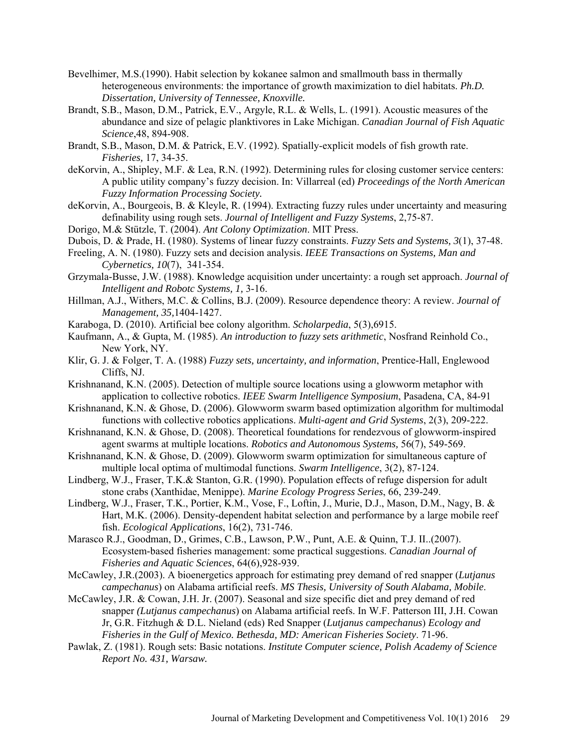- Bevelhimer, M.S.(1990). Habit selection by kokanee salmon and smallmouth bass in thermally heterogeneous environments: the importance of growth maximization to diel habitats. *Ph.D. Dissertation, University of Tennessee, Knoxville.*
- Brandt, S.B., Mason, D.M., Patrick, E.V., Argyle, R.L. & Wells, L. (1991). Acoustic measures of the abundance and size of pelagic planktivores in Lake Michigan. *Canadian Journal of Fish Aquatic Science*,48, 894-908.
- Brandt, S.B., Mason, D.M. & Patrick, E.V. (1992). Spatially-explicit models of fish growth rate. *Fisheries,* 17, 34-35.
- deKorvin, A., Shipley, M.F. & Lea, R.N. (1992). Determining rules for closing customer service centers: A public utility company's fuzzy decision. In: Villarreal (ed) *Proceedings of the North American Fuzzy Information Processing Society.*
- deKorvin, A., Bourgeois, B. & Kleyle, R. (1994). Extracting fuzzy rules under uncertainty and measuring definability using rough sets. *Journal of Intelligent and Fuzzy Systems*, 2,75-87.
- Dorigo, M.& Stützle, T. (2004). *Ant Colony Optimization*. MIT Press.
- Dubois, D. & Prade, H. (1980). Systems of linear fuzzy constraints. *Fuzzy Sets and Systems, 3*(1), 37-48.
- Freeling, A. N. (1980). Fuzzy sets and decision analysis. *IEEE Transactions on Systems, Man and Cybernetics, 10*(7), 341-354.
- Grzymala-Busse, J.W. (1988). Knowledge acquisition under uncertainty: a rough set approach. *Journal of Intelligent and Robotc Systems, 1,* 3-16.
- Hillman, A.J., Withers, M.C. & Collins, B.J. (2009). Resource dependence theory: A review. *Journal of Management, 35,*1404-1427.
- Karaboga, D. (2010). Artificial bee colony algorithm. *Scholarpedia*, 5(3),6915.
- Kaufmann, A., & Gupta, M. (1985). *An introduction to fuzzy sets arithmetic*, Nosfrand Reinhold Co., New York, NY.
- Klir, G. J. & Folger, T. A. (1988) *Fuzzy sets, uncertainty, and information*, Prentice-Hall, Englewood Cliffs, NJ.
- Krishnanand, K.N. (2005). Detection of multiple source locations using a glowworm metaphor with application to collective robotics. *IEEE Swarm Intelligence Symposium*, Pasadena, CA, 84-91
- Krishnanand, K.N. & Ghose, D. (2006). Glowworm swarm based optimization algorithm for multimodal functions with collective robotics applications. *Multi-agent and Grid Systems*, 2(3), 209-222.
- Krishnanand, K.N. & Ghose, D. (2008). Theoretical foundations for rendezvous of glowworm-inspired agent swarms at multiple locations. *Robotics and Autonomous Systems,* 56(7), 549-569.
- Krishnanand, K.N. & Ghose, D. (2009). Glowworm swarm optimization for simultaneous capture of multiple local optima of multimodal functions. *Swarm Intelligence*, 3(2), 87-124.
- Lindberg, W.J., Fraser, T.K.& Stanton, G.R. (1990). Population effects of refuge dispersion for adult stone crabs (Xanthidae, Menippe). *Marine Ecology Progress Series*, 66, 239-249.
- Lindberg, W.J., Fraser, T.K., Portier, K.M., Vose, F., Loftin, J., Murie, D.J., Mason, D.M., Nagy, B. & Hart, M.K. (2006). Density-dependent habitat selection and performance by a large mobile reef fish. *Ecological Applications*, 16(2), 731-746.
- Marasco R.J., Goodman, D., Grimes, C.B., Lawson, P.W., Punt, A.E. & Quinn, T.J. II..(2007). Ecosystem-based fisheries management: some practical suggestions. *Canadian Journal of Fisheries and Aquatic Sciences*, 64(6),928-939.
- McCawley, J.R.(2003). A bioenergetics approach for estimating prey demand of red snapper (*Lutjanus campechanus*) on Alabama artificial reefs. *MS Thesis, University of South Alabama, Mobile*.
- McCawley, J.R. & Cowan, J.H. Jr. (2007). Seasonal and size specific diet and prey demand of red snapper *(Lutjanus campechanus*) on Alabama artificial reefs. In W.F. Patterson III, J.H. Cowan Jr, G.R. Fitzhugh & D.L. Nieland (eds) Red Snapper (*Lutjanus campechanus*) *Ecology and Fisheries in the Gulf of Mexico. Bethesda, MD: American Fisheries Society*. 71-96.
- Pawlak, Z. (1981). Rough sets: Basic notations. *Institute Computer science, Polish Academy of Science Report No. 431, Warsaw.*